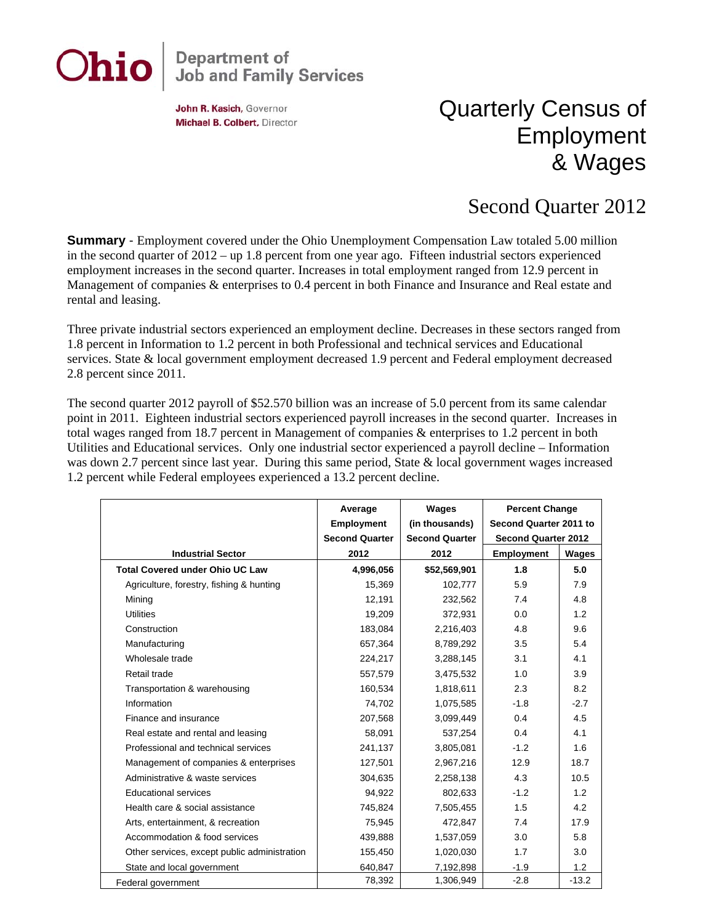

## **Department of<br>Job and Family Services**

John R. Kasich, Governor Michael B. Colbert, Director

## Quarterly Census of Employment & Wages

## Second Quarter 2012

**Summary** - Employment covered under the Ohio Unemployment Compensation Law totaled 5.00 million in the second quarter of 2012 – up 1.8 percent from one year ago. Fifteen industrial sectors experienced employment increases in the second quarter. Increases in total employment ranged from 12.9 percent in Management of companies & enterprises to 0.4 percent in both Finance and Insurance and Real estate and rental and leasing.

Three private industrial sectors experienced an employment decline. Decreases in these sectors ranged from 1.8 percent in Information to 1.2 percent in both Professional and technical services and Educational services. State & local government employment decreased 1.9 percent and Federal employment decreased 2.8 percent since 2011.

The second quarter 2012 payroll of \$52.570 billion was an increase of 5.0 percent from its same calendar point in 2011. Eighteen industrial sectors experienced payroll increases in the second quarter. Increases in total wages ranged from 18.7 percent in Management of companies & enterprises to 1.2 percent in both Utilities and Educational services. Only one industrial sector experienced a payroll decline – Information was down 2.7 percent since last year. During this same period, State & local government wages increased 1.2 percent while Federal employees experienced a 13.2 percent decline.

|                                              | Average<br><b>Employment</b> | <b>Wages</b><br>(in thousands) | <b>Percent Change</b><br>Second Quarter 2011 to |         |
|----------------------------------------------|------------------------------|--------------------------------|-------------------------------------------------|---------|
|                                              | <b>Second Quarter</b>        | <b>Second Quarter</b>          | <b>Second Quarter 2012</b>                      |         |
| <b>Industrial Sector</b>                     | 2012                         | 2012                           | <b>Employment</b>                               | Wages   |
| <b>Total Covered under Ohio UC Law</b>       | 4,996,056                    | \$52,569,901                   | 1.8                                             | 5.0     |
| Agriculture, forestry, fishing & hunting     | 15,369                       | 102,777                        | 5.9                                             | 7.9     |
| Mining                                       | 12,191                       | 232,562                        | 7.4                                             | 4.8     |
| <b>Utilities</b>                             | 19,209                       | 372,931                        | 0.0                                             | 1.2     |
| Construction                                 | 183,084                      | 2,216,403                      | 4.8                                             | 9.6     |
| Manufacturing                                | 657,364                      | 8,789,292                      | 3.5                                             | 5.4     |
| Wholesale trade                              | 224,217                      | 3,288,145                      | 3.1                                             | 4.1     |
| Retail trade                                 | 557,579                      | 3,475,532                      | 1.0                                             | 3.9     |
| Transportation & warehousing                 | 160,534                      | 1,818,611                      | 2.3                                             | 8.2     |
| Information                                  | 74,702                       | 1,075,585                      | $-1.8$                                          | $-2.7$  |
| Finance and insurance                        | 207,568                      | 3,099,449                      | 0.4                                             | 4.5     |
| Real estate and rental and leasing           | 58,091                       | 537,254                        | 0.4                                             | 4.1     |
| Professional and technical services          | 241,137                      | 3,805,081                      | $-1.2$                                          | 1.6     |
| Management of companies & enterprises        | 127,501                      | 2,967,216                      | 12.9                                            | 18.7    |
| Administrative & waste services              | 304,635                      | 2,258,138                      | 4.3                                             | 10.5    |
| <b>Educational services</b>                  | 94,922                       | 802,633                        | $-1.2$                                          | 1.2     |
| Health care & social assistance              | 745,824                      | 7,505,455                      | 1.5                                             | 4.2     |
| Arts, entertainment, & recreation            | 75,945                       | 472,847                        | 7.4                                             | 17.9    |
| Accommodation & food services                | 439,888                      | 1,537,059                      | 3.0                                             | 5.8     |
| Other services, except public administration | 155,450                      | 1,020,030                      | 1.7                                             | 3.0     |
| State and local government                   | 640,847                      | 7,192,898                      | $-1.9$                                          | 1.2     |
| Federal government                           | 78,392                       | 1,306,949                      | $-2.8$                                          | $-13.2$ |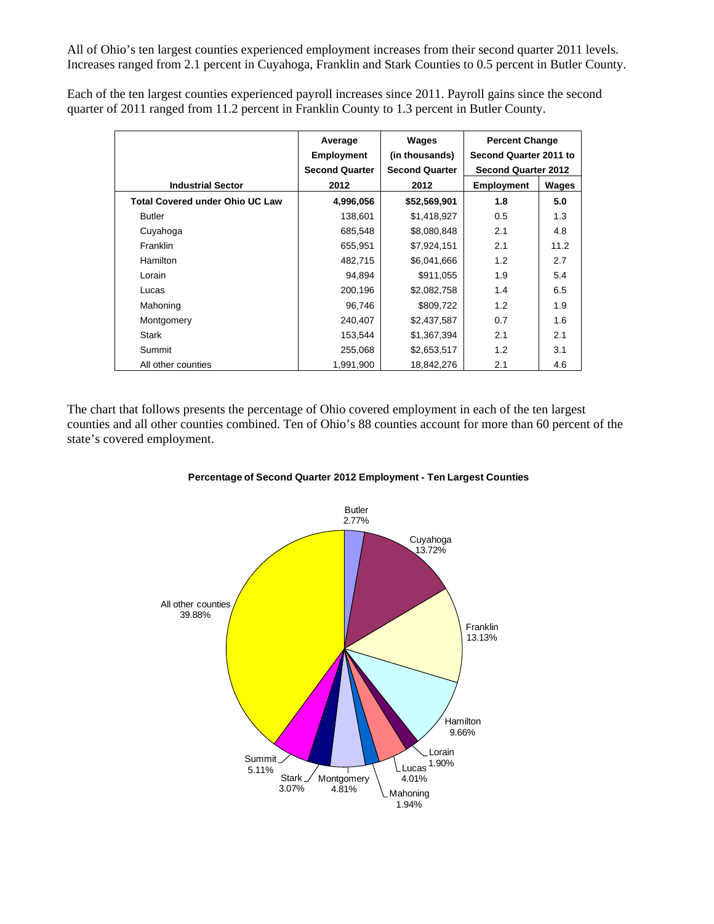All of Ohio's ten largest counties experienced employment increases from their second quarter 2011 levels. Increases ranged from 2.1 percent in Cuyahoga, Franklin and Stark Counties to 0.5 percent in Butler County.

Each of the ten largest counties experienced payroll increases since 2011. Payroll gains since the second quarter of 2011 ranged from 11.2 percent in Franklin County to 1.3 percent in Butler County.

|                                        | Average<br><b>Employment</b><br><b>Second Quarter</b> | Wages<br>(in thousands)<br><b>Second Quarter</b> | <b>Percent Change</b><br>Second Quarter 2011 to<br><b>Second Quarter 2012</b> |       |
|----------------------------------------|-------------------------------------------------------|--------------------------------------------------|-------------------------------------------------------------------------------|-------|
| <b>Industrial Sector</b>               | 2012                                                  | 2012                                             | <b>Employment</b>                                                             | Wages |
| <b>Total Covered under Ohio UC Law</b> | 4,996,056                                             | \$52,569,901                                     | 1.8                                                                           | 5.0   |
| <b>Butler</b>                          | 138,601                                               | \$1,418,927                                      | 0.5                                                                           | 1.3   |
| Cuyahoga                               | 685,548                                               | \$8,080,848                                      | 2.1                                                                           | 4.8   |
| <b>Franklin</b>                        | 655,951                                               | \$7,924,151                                      | 2.1                                                                           | 11.2  |
| <b>Hamilton</b>                        | 482,715                                               | \$6,041,666                                      | 1.2                                                                           | 2.7   |
| Lorain                                 | 94,894                                                | \$911,055                                        | 1.9                                                                           | 5.4   |
| Lucas                                  | 200,196                                               | \$2,082,758                                      | 1.4                                                                           | 6.5   |
| Mahoning                               | 96,746                                                | \$809,722                                        | 1.2                                                                           | 1.9   |
| Montgomery                             | 240,407                                               | \$2,437,587                                      | 0.7                                                                           | 1.6   |
| Stark                                  | 153,544                                               | \$1,367,394                                      | 2.1                                                                           | 2.1   |
| Summit                                 | 255,068                                               | \$2,653,517                                      | 1.2                                                                           | 3.1   |
| All other counties                     | 1,991,900                                             | 18,842,276                                       | 2.1                                                                           | 4.6   |

The chart that follows presents the percentage of Ohio covered employment in each of the ten largest counties and all other counties combined. Ten of Ohio's 88 counties account for more than 60 percent of the state's covered employment.



**Percentage of Second Quarter 2012 Employment - Ten Largest Counties**